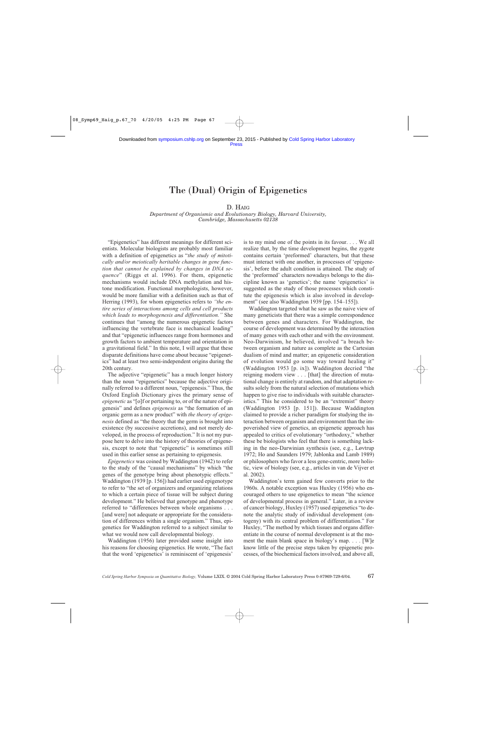## The (Dual) Origin of Epigenetics

### D. HAIG

#### *Department of Organismic and Evolutionary Biology, Harvard University, Cambridge, Massachusetts 02138*

"Epigenetics" has different meanings for different scientists. Molecular biologists are probably most familiar with a definition of epigenetics as "*the study of mitotically and/or meiotically heritable changes in gene function that cannot be explained by changes in DNA sequence*" (Riggs et al. 1996). For them, epigenetic mechanisms would include DNA methylation and histone modification. Functional morphologists, however, would be more familiar with a definition such as that of Herring (1993), for whom epigenetics refers to *"the entire series of interactions among cells and cell products which leads to morphogenesis and differentiation."* She continues that "among the numerous epigenetic factors influencing the vertebrate face is mechanical loading" and that "epigenetic influences range from hormones and growth factors to ambient temperature and orientation in a gravitational field." In this note, I will argue that these disparate definitions have come about because "epigenetics" had at least two semi-independent origins during the 20th century.

The adjective "epigenetic" has a much longer history than the noun "epigenetics" because the adjective originally referred to a different noun, "epigenesis." Thus, the Oxford English Dictionary gives the primary sense of *epigenetic* as "[o]f or pertaining to, or of the nature of epigenesis" and defines *epigenesis* as "the formation of an organic germ as a new product" with *the theory of epigenesis* defined as "the theory that the germ is brought into existence (by successive accretions), and not merely developed, in the process of reproduction." It is not my purpose here to delve into the history of theories of epigenesis, except to note that "epigenetic" is sometimes still used in this earlier sense as pertaining to epigenesis.

*Epigenetics* was coined by Waddington (1942) to refer to the study of the "causal mechanisms" by which "the genes of the genotype bring about phenotypic effects." Waddington (1939 [p. 156]) had earlier used epigenotype to refer to "the set of organizers and organizing relations to which a certain piece of tissue will be subject during development." He believed that genotype and phenotype referred to "differences between whole organisms . . . [and were] not adequate or appropriate for the consideration of differences within a single organism." Thus, epigenetics for Waddington referred to a subject similar to what we would now call developmental biology.

Waddington (1956) later provided some insight into his reasons for choosing epigenetics. He wrote, "The fact that the word 'epigenetics' is reminiscent of 'epigenesis'

is to my mind one of the points in its favour. . . . We all realize that, by the time development begins, the zygote contains certain 'preformed' characters, but that these must interact with one another, in processes of 'epigenesis', before the adult condition is attained. The study of the 'preformed' characters nowadays belongs to the discipline known as 'genetics'; the name 'epigenetics' is suggested as the study of those processes which constitute the epigenesis which is also involved in development" (see also Waddington 1939 [pp. 154–155]).

Waddington targeted what he saw as the naive view of many geneticists that there was a simple correspondence between genes and characters. For Waddington, the course of development was determined by the interaction of many genes with each other and with the environment. Neo-Darwinism, he believed, involved "a breach between organism and nature as complete as the Cartesian dualism of mind and matter; an epigenetic consideration of evolution would go some way toward healing it" (Waddington 1953 [p. ix]). Waddington decried "the reigning modern view . . . [that] the direction of mutational change is entirely at random, and that adaptation results solely from the natural selection of mutations which happen to give rise to individuals with suitable characteristics." This he considered to be an "extremist" theory (Waddington 1953 [p. 151]). Because Waddington claimed to provide a richer paradigm for studying the interaction between organism and environment than the impoverished view of genetics, an epigenetic approach has appealed to critics of evolutionary "orthodoxy," whether these be biologists who feel that there is something lacking in the neo-Darwinian synthesis (see, e.g., Løvtrup 1972; Ho and Saunders 1979; Jablonka and Lamb 1989) or philosophers who favor a less gene-centric, more holistic, view of biology (see, e.g., articles in van de Vijver et al. 2002).

Waddington's term gained few converts prior to the 1960s. A notable exception was Huxley (1956) who encouraged others to use epigenetics to mean "the science of developmental process in general." Later, in a review of cancer biology, Huxley (1957) used epigenetics "to denote the analytic study of individual development (ontogeny) with its central problem of differentiation." For Huxley, "The method by which tissues and organs differentiate in the course of normal development is at the moment the main blank space in biology's map. . . . [W]e know little of the precise steps taken by epigenetic processes, of the biochemical factors involved, and above all,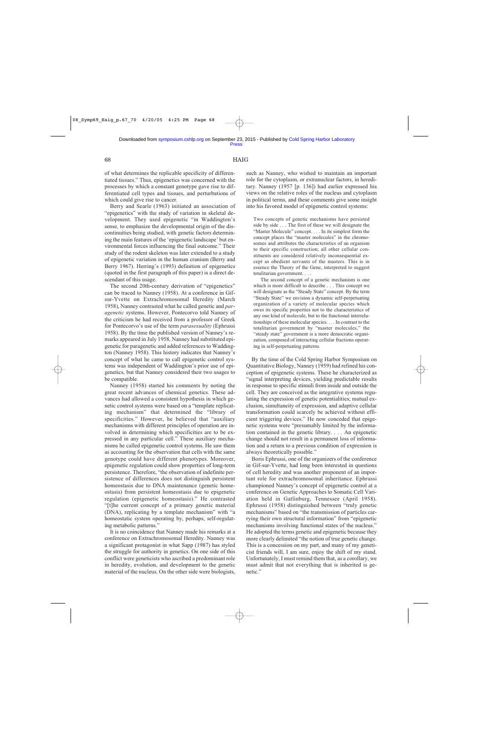of what determines the replicable specificity of differentiated tissues." Thus, epigenetics was concerned with the processes by which a constant genotype gave rise to differentiated cell types and tissues, and perturbations of which could give rise to cancer.

Berry and Searle (1963) initiated an association of "epigenetics" with the study of variation in skeletal development. They used epigenetic "in Waddington's sense, to emphasize the developmental origin of the discontinuities being studied, with genetic factors determining the main features of the 'epigenetic landscape' but environmental forces influencing the final outcome." Their study of the rodent skeleton was later extended to a study of epigenetic variation in the human cranium (Berry and Berry 1967). Herring's (1993) definition of epigenetics (quoted in the first paragraph of this paper) is a direct descendant of this usage.

The second 20th-century derivation of "epigenetics" can be traced to Nanney (1958). At a conference in Gifsur-Yvette on Extrachromosomal Heredity (March 1958), Nanney contrasted what he called genetic and *paragenetic* systems. However, Pontecorvo told Nanney of the criticism he had received from a professor of Greek for Pontecorvo's use of the term *parasexuality* (Ephrussi 1958). By the time the published version of Nanney's remarks appeared in July 1958, Nanney had substituted epigenetic for paragenetic and added references to Waddington (Nanney 1958). This history indicates that Nanney's concept of what he came to call epigenetic control systems was independent of Waddington's prior use of epigenetics, but that Nanney considered their two usages to be compatible.

Nanney (1958) started his comments by noting the great recent advances of chemical genetics. These advances had allowed a consistent hypothesis in which genetic control systems were based on a "template replicating mechanism" that determined the "library of specificities." However, he believed that "auxiliary mechanisms with different principles of operation are involved in determining which specificities are to be expressed in any particular cell." These auxiliary mechanisms he called epigenetic control systems. He saw them as accounting for the observation that cells with the same genotype could have different phenotypes. Moreover, epigenetic regulation could show properties of long-term persistence. Therefore, "the observation of indefinite persistence of differences does not distinguish persistent homeostasis due to DNA maintenance (genetic homeostasis) from persistent homeostasis due to epigenetic regulation (epigenetic homeostasis)." He contrasted "[t]he current concept of a primary genetic material (DNA), replicating by a template mechanism" with "a homeostatic system operating by, perhaps, self-regulating metabolic patterns."

It is no coincidence that Nanney made his remarks at a conference on Extrachromosomal Heredity. Nanney was a significant protagonist in what Sapp (1987) has styled the struggle for authority in genetics. On one side of this conflict were geneticists who ascribed a predominant role in heredity, evolution, and development to the genetic material of the nucleus. On the other side were biologists, such as Nanney, who wished to maintain an important role for the cytoplasm, or extranuclear factors, in hereditary. Nanney (1957 [p. 136]) had earlier expressed his views on the relative roles of the nucleus and cytoplasm in political terms, and these comments give some insight into his favored model of epigenetic control systems:

Two concepts of genetic mechanisms have persisted side by side . . . The first of these we will designate the "Master Molecule" concept. . . . In its simplest form the concept places the "master molecules" in the chromosomes and attributes the characteristics of an organism to their specific construction; all other cellular constituents are considered relatively inconsequential except as obedient servants of the masters. This is in essence the Theory of the Gene, interpreted to suggest totalitarian government. . . .

The second concept of a genetic mechanism is one which is more difficult to describe . . . This concept we will designate as the "Steady State" concept. By the term "Steady State" we envision a dynamic self-perpetuating organization of a variety of molecular species which owes its specific properties not to the characteristics of any one kind of molecule, but to the functional interrelationships of these molecular species. . . . In contrast to the totalitarian government by "master molecules," the "steady state" government is a more democratic organization, composed of interacting cellular fractions operating in self-perpetuating patterns.

By the time of the Cold Spring Harbor Symposium on Quantitative Biology, Nanney (1959) had refined his conception of epigenetic systems. These he characterized as "signal interpreting devices, yielding predictable results in response to specific stimuli from inside and outside the cell. They are conceived as the integrative systems regulating the expression of genetic potentialities; mutual exclusion, simultaneity of expression, and adaptive cellular transformation could scarcely be achieved without efficient triggering devices." He now conceded that epigenetic systems were "presumably limited by the information contained in the genetic library. . . . An epigenetic change should not result in a permanent loss of information and a return to a previous condition of expression is always theoretically possible."

Boris Ephrussi, one of the organizers of the conference in Gif-sur-Yvette, had long been interested in questions of cell heredity and was another proponent of an important role for extrachromosomal inheritance. Ephrussi championed Nanney's concept of epigenetic control at a conference on Genetic Approaches to Somatic Cell Variation held in Gatlinburg, Tennessee (April 1958). Ephrussi (1958) distinguished between "truly genetic mechanisms" based on "the transmission of particles carrying their own structural information" from "epigenetic mechanisms involving functional states of the nucleus." He adopted the terms genetic and epigenetic because they more clearly delimited "the notion of true genetic change. This is a concession on my part, and many of my geneticist friends will, I am sure, enjoy the shift of my stand. Unfortunately, I must remind them that, as a corollary, we must admit that not everything that is inherited is genetic."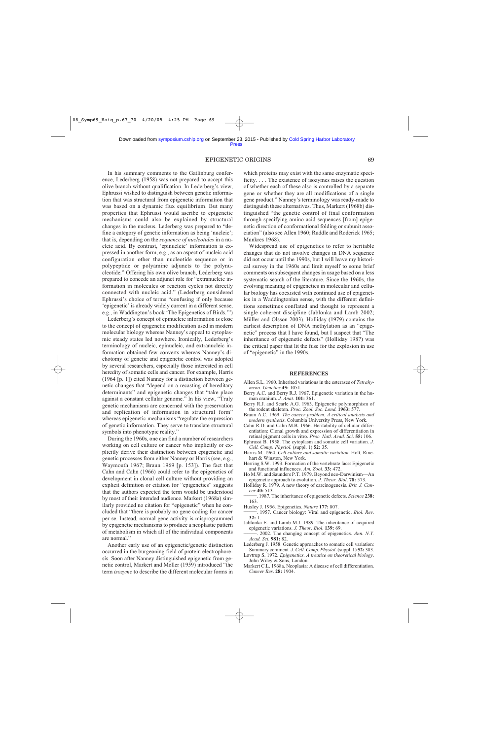#### EPIGENETIC ORIGINS 69

In his summary comments to the Gatlinburg conference, Lederberg (1958) was not prepared to accept this olive branch without qualification. In Lederberg's view, Ephrussi wished to distinguish between genetic information that was structural from epigenetic information that was based on a dynamic flux equilibrium. But many properties that Ephrussi would ascribe to epigenetic mechanisms could also be explained by structural changes in the nucleus. Lederberg was prepared to "define a category of genetic information as being 'nucleic'; that is, depending on the *sequence of nucleotides* in a nucleic acid. By contrast, 'epinucleic' information is expressed in another form, e.g., as an aspect of nucleic acid configuration other than nucleotide sequence or in polypeptide or polyamine adjuncts to the polynucleotide." Offering his own olive branch, Lederberg was prepared to concede an adjunct role for "extranucleic information in molecules or reaction cycles not directly connected with nucleic acid." (Lederberg considered Ephrussi's choice of terms "confusing if only because 'epigenetic' is already widely current in a different sense, e.g., in Waddington's book 'The Epigenetics of Birds.'")

Lederberg's concept of epinucleic information is close to the concept of epigenetic modification used in modern molecular biology whereas Nanney's appeal to cytoplasmic steady states led nowhere. Ironically, Lederberg's terminology of nucleic, epinucleic, and extranucleic information obtained few converts whereas Nanney's dichotomy of genetic and epigenetic control was adopted by several researchers, especially those interested in cell heredity of somatic cells and cancer. For example, Harris (1964 [p. 1]) cited Nanney for a distinction between genetic changes that "depend on a recasting of hereditary determinants" and epigenetic changes that "take place against a constant cellular genome." In his view, "Truly genetic mechanisms are concerned with the preservation and replication of information in structural form" whereas epigenetic mechanisms "regulate the expression of genetic information. They serve to translate structural symbols into phenotypic reality."

During the 1960s, one can find a number of researchers working on cell culture or cancer who implicitly or explicitly derive their distinction between epigenetic and genetic processes from either Nanney or Harris (see, e.g., Waymouth 1967; Braun 1969 [p. 153]). The fact that Cahn and Cahn (1966) could refer to the epigenetics of development in clonal cell culture without providing an explicit definition or citation for "epigenetics" suggests that the authors expected the term would be understood by most of their intended audience. Markert (1968a) similarly provided no citation for "epigenetic" when he concluded that "there is probably no gene coding for cancer per se. Instead, normal gene activity is misprogrammed by epigenetic mechanisms to produce a neoplastic pattern of metabolism in which all of the individual components are normal."

Another early use of an epigenetic/genetic distinction occurred in the burgeoning field of protein electrophoresis. Soon after Nanney distinguished epigenetic from genetic control, Markert and Møller (1959) introduced "the term *isozyme* to describe the different molecular forms in

which proteins may exist with the same enzymatic specificity. . . . The existence of isozymes raises the question of whether each of these also is controlled by a separate gene or whether they are all modifications of a single gene product." Nanney's terminology was ready-made to distinguish these alternatives. Thus, Markert (1968b) distinguished "the genetic control of final conformation through specifying amino acid sequences [from] epigenetic direction of conformational folding or subunit association" (also see Allen 1960; Ruddle and Roderick 1965; Munkres 1968).

Widespread use of epigenetics to refer to heritable changes that do not involve changes in DNA sequence did not occur until the 1990s, but I will leave my historical survey in the 1960s and limit myself to some brief comments on subsequent changes in usage based on a less systematic search of the literature. Since the 1960s, the evolving meaning of epigenetics in molecular and cellular biology has coexisted with continued use of epigenetics in a Waddingtonian sense, with the different definitions sometimes conflated and thought to represent a single coherent discipline (Jablonka and Lamb 2002; Müller and Olsson 2003). Holliday (1979) contains the earliest description of DNA methylation as an "epigenetic" process that I have found, but I suspect that "The inheritance of epigenetic defects" (Holliday 1987) was the critical paper that lit the fuse for the explosion in use of "epigenetic" in the 1990s.

#### **REFERENCES**

- Allen S.L. 1960. Inherited variations in the esterases of *Tetrahymena*. *Genetics* **45:** 1051.
- Berry A.C. and Berry R.J. 1967. Epigenetic variation in the human cranium. *J. Anat*. **101:** 361.
- Berry R.J. and Searle A.G. 1963. Epigenetic polymorphism of the rodent skeleton. *Proc. Zool. Soc. Lond.* **1963:** 577.
- Braun A.C. 1969. *The cancer problem. A critical analysis and modern synthesis*. Columbia University Press, New York.
- Cahn R.D. and Cahn M.B. 1966. Heritability of cellular differentiation: Clonal growth and expression of differentiation in retinal pigment cells in vitro. *Proc. Natl. Acad. Sci*. **55:** 106.
- Ephrussi B. 1958. The cytoplasm and somatic cell variation. *J. Cell. Comp. Physiol*. (suppl. 1) **52:** 35.
- Harris M. 1964. *Cell culture and somatic variation*. Holt, Rinehart & Winston, New York.
- Herring S.W. 1993. Formation of the vertebrate face: Epigenetic and functional influences. *Am. Zool*. **33:** 472.
- Ho M.W. and Saunders P.T. 1979. Beyond neo-Darwinism—An epigenetic approach to evolution. *J. Theor. Biol*. **78:** 573.
- Holliday R. 1979. A new theory of carcinogenesis. *Brit. J. Can-*
- *cer* **40:** 513. \_\_\_\_\_\_\_. 1987. The inheritance of epigenetic defects. *Science* **238:** 163.
- 
- Huxley J. 1956. Epigenetics. *Nature* **177:** 807. \_\_\_\_\_\_\_. 1957. Cancer biology: Viral and epigenetic. *Biol. Rev*. **32:** 1.
- Jablonka E. and Lamb M.J. 1989. The inheritance of acquired epigenetic variations. *J. Theor. Biol.* **139:** 69. **\_\_\_\_**. 2002. The changing concept of epigenetics. *Ann. N.Y.*
- *Acad. Sci.* **981:** 82.
- Lederberg J. 1958. Genetic approaches to somatic cell variation: Summary comment*. J. Cell. Comp. Physiol*. (suppl. 1) **52:** 383.
- Løvtrup S. 1972. *Epigenetics. A treatise on theoretical biology*. John Wiley & Sons, London.
- Markert C.L. 1968a. Neoplasia: A disease of cell differentiation. *Cancer Res*. **28:** 1904.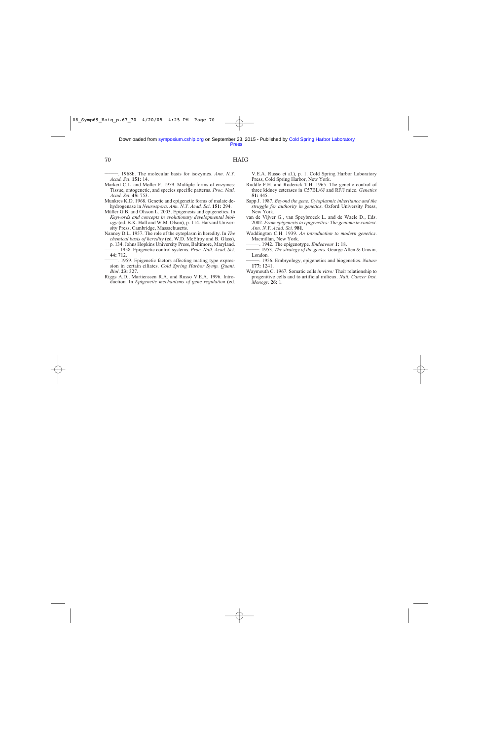70 HAIG

\_\_\_\_\_\_\_. 1968b. The molecular basis for isozymes. *Ann. N.Y. Acad. Sci*. **151:** 14.

- Markert C.L. and Møller F. 1959. Multiple forms of enzymes: Tissue, ontogenetic, and species specific patterns. *Proc. Natl. Acad. Sci*. **45:** 753.
- Munkres K.D. 1968. Genetic and epigenetic forms of malate dehydrogenase in *Neurospora*. *Ann. N.Y. Acad. Sci*. **151:** 294.
- Müller G.B. and Olsson L. 2003. Epigenesis and epigenetics. In *Keywords and concepts in evolutionary developmental biology* (ed. B.K. Hall and W.M. Olson), p. 114. Harvard University Press, Cambridge, Massachusetts.
- Nanney D.L. 1957. The role of the cytoplasm in heredity. In *The chemical basis of heredity* (ed. W.D. McElroy and B. Glass), p. 134. Johns Hopkins University Press, Baltimore, Maryland.<br>
- 1958. Epigenetic control systems. *Proc. Natl. Acad. Sci*.<br> **44:** 712.
- $-$ , 1959. Epigenetic factors affecting mating type expres-
- sion in certain ciliates. *Cold Spring Harbor Symp. Quant. Biol*. **23:** 327.
- Riggs A.D., Martienssen R.A. and Russo V.E.A. 1996. Introduction. In *Epigenetic mechanisms of gene regulation* (ed.

V.E.A. Russo et al.), p. 1. Cold Spring Harbor Laboratory Press, Cold Spring Harbor, New York.

- Ruddle F.H. and Roderick T.H. 1965. The genetic control of three kidney esterases in C57BL/6J and RF/J mice. *Genetics* **51:** 445.
- Sapp J. 1987. *Beyond the gene. Cytoplasmic inheritance and the struggle for authority in genetics*. Oxford University Press, New York.
- van de Vijver G., van Speybroeck L. and de Waele D., Eds. 2002. *From epigenesis to epigenetics: The genome in context*. *Ann. N.Y. Acad. Sci.* **981**.
- Waddington C.H. 1939. *An introduction to modern genetics*.
- 
- ——. 1942. The epigenotype. *Endeavour* **1:** 18. <br>——. 1953. *The strategy of the genes*. George Allen & Unwin, London.
- -. 1956. Embryology, epigenetics and biogenetics. *Nature* **177:** 1241.
- Waymouth C. 1967. Somatic cells *in vitro:* Their relationship to progenitive cells and to artificial milieux. *Natl. Cancer Inst. Monogr.* **26:** 1.